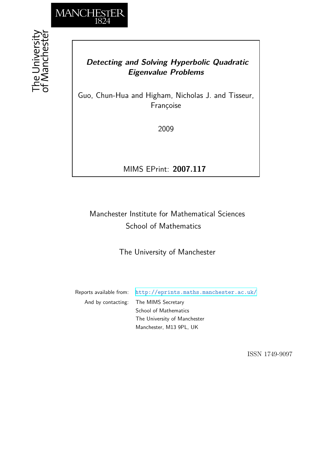

# *Detecting and Solving Hyperbolic Quadratic Eigenvalue Problems*

Guo, Chun-Hua and Higham, Nicholas J. and Tisseur, Françoise

2009

MIMS EPrint: **2007.117**

# Manchester Institute for Mathematical Sciences School of Mathematics

The University of Manchester

Reports available from: <http://eprints.maths.manchester.ac.uk/> And by contacting: The MIMS Secretary School of Mathematics The University of Manchester Manchester, M13 9PL, UK

ISSN 1749-9097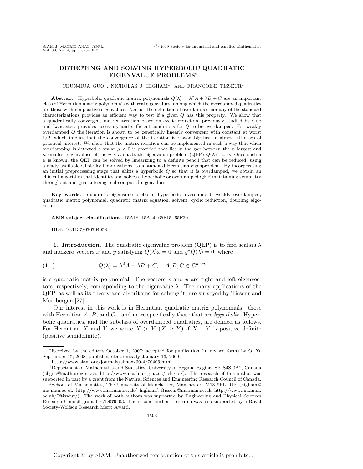## **DETECTING AND SOLVING HYPERBOLIC QUADRATIC EIGENVALUE PROBLEMS**∗

CHUN-HUA GUO<sup>†</sup>, NICHOLAS J. HIGHAM<sup>‡</sup>, AND FRANÇOISE TISSEUR<sup>‡</sup>

**Abstract.** Hyperbolic quadratic matrix polynomials  $Q(\lambda) = \lambda^2 A + \lambda B + C$  are an important class of Hermitian matrix polynomials with real eigenvalues, among which the overdamped quadratics are those with nonpositive eigenvalues. Neither the definition of overdamped nor any of the standard characterizations provides an efficient way to test if a given Q has this property. We show that a quadratically convergent matrix iteration based on cyclic reduction, previously studied by Guo and Lancaster, provides necessary and sufficient conditions for  $Q$  to be overdamped. For weakly overdamped Q the iteration is shown to be generically linearly convergent with constant at worst 1/2, which implies that the convergence of the iteration is reasonably fast in almost all cases of practical interest. We show that the matrix iteration can be implemented in such a way that when overdamping is detected a scalar  $\mu < 0$  is provided that lies in the gap between the n largest and n smallest eigenvalues of the  $n \times n$  quadratic eigenvalue problem (QEP)  $Q(\lambda)x = 0$ . Once such a  $\mu$  is known, the QEP can be solved by linearizing to a definite pencil that can be reduced, using already available Cholesky factorizations, to a standard Hermitian eigenproblem. By incorporating an initial preprocessing stage that shifts a hyperbolic  $Q$  so that it is overdamped, we obtain an efficient algorithm that identifies and solves a hyperbolic or overdamped QEP maintaining symmetry throughout and guaranteeing real computed eigenvalues.

**Key words.** quadratic eigenvalue problem, hyperbolic, overdamped, weakly overdamped, quadratic matrix polynomial, quadratic matrix equation, solvent, cyclic reduction, doubling algorithm

**AMS subject classifications.** 15A18, 15A24, 65F15, 65F30

**DOI.** 10.1137/070704058

**1. Introduction.** The quadratic eigenvalue problem (QEP) is to find scalars  $\lambda$ and nonzero vectors x and y satisfying  $Q(\lambda)x = 0$  and  $y^*Q(\lambda) = 0$ , where

(1.1) 
$$
Q(\lambda) = \lambda^2 A + \lambda B + C, \quad A, B, C \in \mathbb{C}^{n \times n}
$$

is a quadratic matrix polynomial. The vectors  $x$  and  $y$  are right and left eigenvectors, respectively, corresponding to the eigenvalue  $\lambda$ . The many applications of the QEP, as well as its theory and algorithms for solving it, are surveyed by Tisseur and Meerbergen [27].

Our interest in this work is in Hermitian quadratic matrix polynomials—those with Hermitian A, B, and C—and more specifically those that are *hyperbolic*. Hyperbolic quadratics, and the subclass of overdamped quadratics, are defined as follows. For Hermitian X and Y we write  $X>Y$  ( $X\geq Y$ ) if  $X-Y$  is positive definite (positive semidefinite).

<sup>∗</sup>Received by the editors October 1, 2007; accepted for publication (in revised form) by Q. Ye September 15, 2008; published electronically January 16, 2009.

http://www.siam.org/journals/simax/30-4/70405.html

<sup>†</sup>Department of Mathematics and Statistics, University of Regina, Regina, SK S4S 0A2, Canada (chguo@math.uregina.ca, http://www.math.uregina.ca/˜chguo/). The research of this author was supported in part by a grant from the Natural Sciences and Engineering Research Council of Canada.

<sup>‡</sup>School of Mathematics, The University of Manchester, Manchester, M13 9PL, UK (higham@ ma.man.ac.uk, http://www.ma.man.ac.uk/˜higham/, ftisseur@ma.man.ac.uk, http://www.ma.man. ac.uk/˜ftisseur/). The work of both authors was supported by Engineering and Physical Sciences Research Council grant EP/D079403. The second author's research was also supported by a Royal Society-Wolfson Research Merit Award.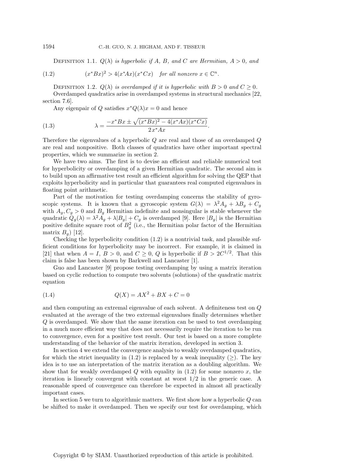DEFINITION 1.1.  $Q(\lambda)$  *is hyperbolic if* A, B, and C are Hermitian,  $A > 0$ , and

(1.2) 
$$
(x^*Bx)^2 > 4(x^*Ax)(x^*Cx) \text{ for all nonzero } x \in \mathbb{C}^n.
$$

DEFINITION 1.2.  $Q(\lambda)$  *is overdamped if it is hyperbolic with*  $B > 0$  *and*  $C \geq 0$ *.* Overdamped quadratics arise in overdamped systems in structural mechanics [22, section 7.6].

Any eigenpair of Q satisfies  $x^*Q(\lambda)x=0$  and hence

(1.3) 
$$
\lambda = \frac{-x^* B x \pm \sqrt{(x^* B x)^2 - 4(x^* A x)(x^* C x)}}{2 x^* A x}.
$$

Therefore the eigenvalues of a hyperbolic  $Q$  are real and those of an overdamped  $Q$ are real and nonpositive. Both classes of quadratics have other important spectral properties, which we summarize in section 2.

We have two aims. The first is to devise an efficient and reliable numerical test for hyperbolicity or overdamping of a given Hermitian quadratic. The second aim is to build upon an affirmative test result an efficient algorithm for solving the QEP that exploits hyperbolicity and in particular that guarantees real computed eigenvalues in floating point arithmetic.

Part of the motivation for testing overdamping concerns the stability of gyroscopic systems. It is known that a gyroscopic system  $G(\lambda) = \lambda^2 A_g + \lambda B_g + C_g$ with  $A_g, C_g > 0$  and  $B_g$  Hermitian indefinite and nonsingular is stable whenever the quadratic  $Q_g(\lambda) = \lambda^2 A_g + \lambda |B_g| + C_g$  is overdamped [9]. Here  $|B_g|$  is the Hermitian positive definite square root of  $B_g^2$  (i.e., the Hermitian polar factor of the Hermitian matrix  $B \setminus [12]$ matrix  $B_q$ ) [12].

Checking the hyperbolicity condition  $(1.2)$  is a nontrivial task, and plausible sufficient conditions for hyperbolicity may be incorrect. For example, it is claimed in [21] that when  $A = I$ ,  $B > 0$ , and  $C \geq 0$ , Q is hyperbolic if  $B > 2C^{1/2}$ . That this claim is false has been shown by Barkwell and Lancaster [1].

Guo and Lancaster [9] propose testing overdamping by using a matrix iteration based on cyclic reduction to compute two solvents (solutions) of the quadratic matrix equation

(1.4) 
$$
Q(X) = AX^2 + BX + C = 0
$$

and then computing an extremal eigenvalue of each solvent. A definiteness test on Q evaluated at the average of the two extremal eigenvalues finally determines whether Q is overdamped. We show that the same iteration can be used to test overdamping in a much more efficient way that does not necessarily require the iteration to be run to convergence, even for a positive test result. Our test is based on a more complete understanding of the behavior of the matrix iteration, developed in section 3.

In section 4 we extend the convergence analysis to weakly overdamped quadratics, for which the strict inequality in (1.2) is replaced by a weak inequality  $(\geq)$ . The key idea is to use an interpretation of the matrix iteration as a doubling algorithm. We show that for weakly overdamped  $Q$  with equality in (1.2) for some nonzero  $x$ , the iteration is linearly convergent with constant at worst 1/2 in the generic case. A reasonable speed of convergence can therefore be expected in almost all practically important cases.

In section 5 we turn to algorithmic matters. We first show how a hyperbolic Q can be shifted to make it overdamped. Then we specify our test for overdamping, which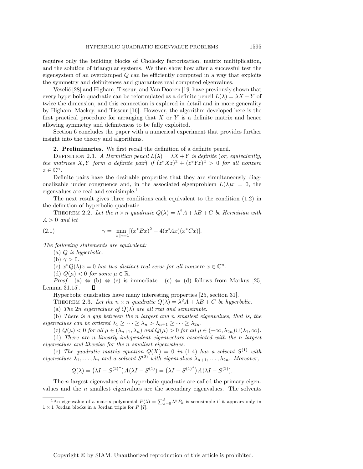requires only the building blocks of Cholesky factorization, matrix multiplication, and the solution of triangular systems. We then show how after a successful test the eigensystem of an overdamped Q can be efficiently computed in a way that exploits the symmetry and definiteness and guarantees real computed eigenvalues.

Veselić [28] and Higham, Tisseur, and Van Dooren [19] have previously shown that every hyperbolic quadratic can be reformulated as a definite pencil  $L(\lambda) = \lambda X + Y$  of twice the dimension, and this connection is explored in detail and in more generality by Higham, Mackey, and Tisseur [16]. However, the algorithm developed here is the first practical procedure for arranging that  $X$  or  $Y$  is a definite matrix and hence allowing symmetry and definiteness to be fully exploited.

Section 6 concludes the paper with a numerical experiment that provides further insight into the theory and algorithms.

**2. Preliminaries.** We first recall the definition of a definite pencil.

DEFINITION 2.1. *A Hermitian pencil*  $L(\lambda) = \lambda X + Y$  *is definite* (*or, equivalently, the matrices* X, Y *form a definite pair*) *if*  $(z^*Xz)^2 + (z^*Yz)^2 > 0$  *for all nonzero*  $z \in \mathbb{C}^n$ .

Definite pairs have the desirable properties that they are simultaneously diagonalizable under congruence and, in the associated eigenproblem  $L(\lambda)x = 0$ , the eigenvalues are real and semisimple.<sup>1</sup>

The next result gives three conditions each equivalent to the condition (1.2) in the definition of hyperbolic quadratic.

THEOREM 2.2. Let the  $n \times n$  *quadratic*  $Q(\lambda) = \lambda^2 A + \lambda B + C$  be Hermitian with  $A > 0$  *and let* 

(2.1) 
$$
\gamma = \min_{\|x\|_2 = 1} [(x^* B x)^2 - 4(x^* A x)(x^* C x)].
$$

*The following statements are equivalent:*

(a) Q *is hyperbolic.*

(b)  $\gamma > 0$ .

(c)  $x^*Q(\lambda)x = 0$  *has two distinct real zeros for all nonzero*  $x \in \mathbb{C}^n$ .

(d)  $Q(\mu) < 0$  *for some*  $\mu \in \mathbb{R}$ *.* 

*Proof.* (a)  $\Leftrightarrow$  (b)  $\Leftrightarrow$  (c) is immediate. (c)  $\Leftrightarrow$  (d) follows from Markus [25, Lemma 31.15].  $\Box$ 

Hyperbolic quadratics have many interesting properties [25, section 31].

THEOREM 2.3. Let the  $n \times n$  quadratic  $Q(\lambda) = \lambda^2 A + \lambda B + C$  be hyperbolic.

(a) *The* 2n *eigenvalues of*  $Q(\lambda)$  *are all real and semisimple.* 

(b) *There is a gap between the* n *largest and* n *smallest eigenvalues, that is, the eigenvalues can be ordered*  $\lambda_1 \geq \cdots \geq \lambda_n > \lambda_{n+1} \geq \cdots \geq \lambda_{2n}$ .

(c)  $Q(\mu) < 0$  *for all*  $\mu \in (\lambda_{n+1}, \lambda_n)$  *and*  $Q(\mu) > 0$  *for all*  $\mu \in (-\infty, \lambda_{2n}) \cup (\lambda_1, \infty)$ *.* 

(d) *There are* n *linearly independent eigenvectors associated with the* n *largest eigenvalues and likewise for the* n *smallest eigenvalues.*

(e) The quadratic matrix equation  $Q(X)=0$  in (1.4) has a solvent  $S^{(1)}$  with *eigenvalues*  $\lambda_1, \ldots, \lambda_n$  *and a solvent*  $S^{(2)}$  *with eigenvalues*  $\lambda_{n+1}, \ldots, \lambda_{2n}$ *. Moreover,* 

$$
Q(\lambda) = (\lambda I - S^{(2)^*})A(\lambda I - S^{(1)}) = (\lambda I - S^{(1)^*})A(\lambda I - S^{(2)}).
$$

The *n* largest eigenvalues of a hyperbolic quadratic are called the primary eigenvalues and the n smallest eigenvalues are the secondary eigenvalues. The solvents

<sup>&</sup>lt;sup>1</sup>An eigenvalue of a matrix polynomial  $P(\lambda) = \sum_{k=0}^{\ell} \lambda^k P_k$  is semisimple if it appears only in  $1 \times 1$  Jordan blocks in a Jordan triple for  $P$  [7].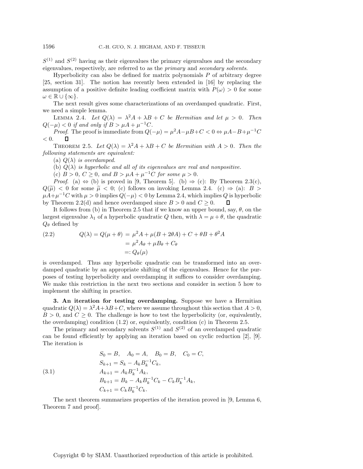$S^{(1)}$  and  $S^{(2)}$  having as their eigenvalues the primary eigenvalues and the secondary eigenvalues, respectively, are referred to as the *primary* and *secondary solvents*.

Hyperbolicity can also be defined for matrix polynomials  $P$  of arbitrary degree [25, section 31]. The notion has recently been extended in [16] by replacing the assumption of a positive definite leading coefficient matrix with  $P(\omega) > 0$  for some  $\omega \in \mathbb{R} \cup \{\infty\}.$ 

The next result gives some characterizations of an overdamped quadratic. First, we need a simple lemma.

LEMMA 2.4. Let  $Q(\lambda) = \lambda^2 A + \lambda B + C$  be Hermitian and let  $\mu > 0$ . Then  $Q(-\mu) < 0$  if and only if  $B > \mu A + \mu^{-1}C$ .

*Proof.* The proof is immediate from  $Q(-\mu) = \mu^2 A - \mu B + C < 0 \Leftrightarrow \mu A - B + \mu^{-1}C$  $< 0.$  $\Box$ 

THEOREM 2.5. Let  $Q(\lambda) = \lambda^2 A + \lambda B + C$  be Hermitian with  $A > 0$ . Then the *following statements are equivalent:*

(a)  $Q(\lambda)$  *is overdamped.* 

(b)  $Q(\lambda)$  *is hyperbolic and all of its eigenvalues are real and nonpositive.* 

(c)  $B > 0$ ,  $C \ge 0$ , and  $B > \mu A + \mu^{-1}C$  for some  $\mu > 0$ .

*Proof.* (a)  $\Leftrightarrow$  (b) is proved in [9, Theorem 5]. (b)  $\Rightarrow$  (c): By Theorem 2.3(c),  $Q(\tilde{\mu})$  < 0 for some  $\tilde{\mu}$  < 0; (c) follows on invoking Lemma 2.4. (c)  $\Rightarrow$  (a): B >  $\mu A + \mu^{-1}C$  with  $\mu > 0$  implies  $Q(-\mu) < 0$  by Lemma 2.4, which implies Q is hyperbolic by Theorem 2.2(d) and hence overdamped since  $B > 0$  and  $C \geq 0$ .  $\Box$ 

It follows from (b) in Theorem 2.5 that if we know an upper bound, say,  $\theta$ , on the largest eigenvalue  $\lambda_1$  of a hyperbolic quadratic Q then, with  $\lambda = \mu + \theta$ , the quadratic  $Q_{\theta}$  defined by

(2.2) 
$$
Q(\lambda) = Q(\mu + \theta) = \mu^2 A + \mu (B + 2\theta A) + C + \theta B + \theta^2 A
$$

$$
= \mu^2 A_{\theta} + \mu B_{\theta} + C_{\theta}
$$

$$
=: Q_{\theta}(\mu)
$$

is overdamped. Thus any hyperbolic quadratic can be transformed into an overdamped quadratic by an appropriate shifting of the eigenvalues. Hence for the purposes of testing hyperbolicity and overdamping it suffices to consider overdamping. We make this restriction in the next two sections and consider in section 5 how to implement the shifting in practice.

**3. An iteration for testing overdamping.** Suppose we have a Hermitian quadratic  $Q(\lambda) = \lambda^2 A + \lambda B + C$ , where we assume throughout this section that  $A > 0$ ,  $B > 0$ , and  $C \geq 0$ . The challenge is how to test the hyperbolicity (or, equivalently, the overdamping) condition (1.2) or, equivalently, condition (c) in Theorem 2.5.

The primary and secondary solvents  $S^{(1)}$  and  $S^{(2)}$  of an overdamped quadratic can be found efficiently by applying an iteration based on cyclic reduction [2], [9]. The iteration is

(3.1)  
\n
$$
S_0 = B, \quad A_0 = A, \quad B_0 = B, \quad C_0 = C,
$$
\n
$$
S_{k+1} = S_k - A_k B_k^{-1} C_k,
$$
\n
$$
A_{k+1} = A_k B_k^{-1} A_k,
$$
\n
$$
B_{k+1} = B_k - A_k B_k^{-1} C_k - C_k B_k^{-1} A_k,
$$
\n
$$
C_{k+1} = C_k B_k^{-1} C_k.
$$

The next theorem summarizes properties of the iteration proved in [9, Lemma 6, Theorem 7 and proof].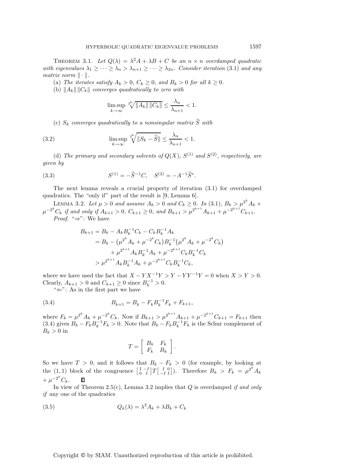THEOREM 3.1. Let  $Q(\lambda) = \lambda^2 A + \lambda B + C$  be an  $n \times n$  overdamped quadratic *with eigenvalues*  $\lambda_1 \geq \cdots \geq \lambda_n > \lambda_{n+1} \geq \cdots \geq \lambda_{2n}$ . Consider iteration (3.1) and any *matrix norm*  $\|\cdot\|$ .

(a) The iterates satisfy  $A_k > 0$ ,  $C_k \geq 0$ , and  $B_k > 0$  for all  $k \geq 0$ .

(b)  $||A_k|| ||C_k||$  *converges quadratically to zero with* 

$$
\limsup_{k \to \infty} \sqrt[2k]{\|A_k\| \|C_k\|} \le \frac{\lambda_n}{\lambda_{n+1}} < 1.
$$

(c)  $S_k$  *converges quadratically to a nonsingular matrix*  $\widehat{S}$  *with* 

(3.2) 
$$
\limsup_{k \to \infty} \sqrt[2k]{\|S_k - \widehat{S}\|} \le \frac{\lambda_n}{\lambda_{n+1}} < 1.
$$

(d) The primary and secondary solvents of  $Q(X)$ ,  $S^{(1)}$  and  $S^{(2)}$ , respectively, are *given by*

(3.3) 
$$
S^{(1)} = -\widehat{S}^{-1}C, \quad S^{(2)} = -A^{-1}\widehat{S}^*.
$$

The next lemma reveals a crucial property of iteration (3.1) for overdamped quadratics. The "only if" part of the result is [9, Lemma 6].

LEMMA 3.2. Let  $\mu > 0$  and assume  $A_k > 0$  and  $C_k \ge 0$ . In (3.1),  $B_k > \mu^{2^k} A_k + \mu^{-2^k} C_k$  if and only if  $A_{k+1} > 0$ ,  $C_{k+1} \ge 0$ , and  $B_{k+1} > \mu^{2^{k+1}} A_{k+1} + \mu^{-2^{k+1}} C_{k+1}$ . *Proof*. "⇒": We have

$$
B_{k+1} = B_k - A_k B_k^{-1} C_k - C_k B_k^{-1} A_k
$$
  
=  $B_k - (\mu^{2^k} A_k + \mu^{-2^k} C_k) B_k^{-1} (\mu^{2^k} A_k + \mu^{-2^k} C_k)$   
+  $\mu^{2^{k+1}} A_k B_k^{-1} A_k + \mu^{-2^{k+1}} C_k B_k^{-1} C_k$   
>  $\mu^{2^{k+1}} A_k B_k^{-1} A_k + \mu^{-2^{k+1}} C_k B_k^{-1} C_k$ ,

where we have used the fact that  $X - Y X^{-1}Y > Y - Y Y^{-1}Y = 0$  when  $X > Y > 0$ . Clearly,  $A_{k+1} > 0$  and  $C_{k+1} \ge 0$  since  $B_k^{-1} > 0$ .<br>" $\leftarrow$ ". As in the first part we have

" $\Leftarrow$ ": As in the first part we have

(3.4) 
$$
B_{k+1} = B_k - F_k B_k^{-1} F_k + F_{k+1},
$$

where  $F_k = \mu^{2^k} A_k + \mu^{-2^k} C_k$ . Now if  $B_{k+1} > \mu^{2^{k+1}} A_{k+1} + \mu^{-2^{k+1}} C_{k+1} = F_{k+1}$  then (3.4) gives  $B_k - F_k B_k^{-1} F_k > 0$ . Note that  $B_k - F_k B_k^{-1} F_k$  is the Schur complement of  $B_k > 0$  in  $B_k > 0$  in

$$
T = \left[ \begin{array}{cc} B_k & F_k \\ F_k & B_k \end{array} \right].
$$

So we have  $T > 0$ , and it follows that  $B_k - F_k > 0$  (for example, by looking at the (1, 1) block of the congruence  $\begin{bmatrix} I & -I \\ 0 & I \end{bmatrix}$  $\left|T\right|_{-I}^{I}$ ]). Therefore  $B_k > F_k = \mu^{2^k} A_k$ 0  $+\mu^{-2^k}C_k.$  $\Box$ 

In view of Theorem 2.5(c), Lemma 3.2 implies that Q is overdamped *if and only if* any one of the quadratics

(3.5) 
$$
Q_k(\lambda) = \lambda^2 A_k + \lambda B_k + C_k
$$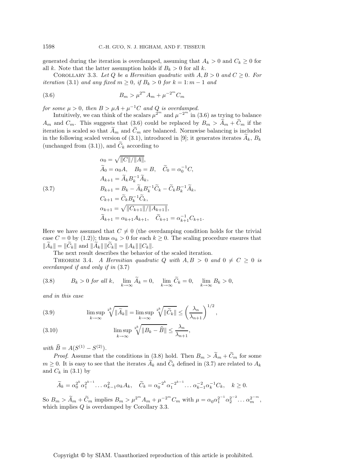generated during the iteration is overdamped, assuming that  $A_k > 0$  and  $C_k \geq 0$  for all k. Note that the latter assumption holds if  $B_k > 0$  for all k.

COROLLARY 3.3. Let Q be a Hermitian quadratic with  $A, B > 0$  and  $C \geq 0$ . For *iteration* (3.1) *and any fixed*  $m \geq 0$ , *if*  $B_k > 0$  *for*  $k = 1$ :  $m - 1$  *and* 

(3.6) 
$$
B_m > \mu^{2^m} A_m + \mu^{-2^m} C_m
$$

*for some*  $\mu > 0$ *, then*  $B > \mu A + \mu^{-1}C$  *and*  $Q$  *is overdamped.* 

Intuitively, we can think of the scalars  $\mu^{2^m}$  and  $\mu^{-2^m}$  in (3.6) as trying to balance  $A_m$  and  $C_m$ . This suggests that (3.6) could be replaced by  $B_m > \widetilde{A}_m + \widetilde{C}_m$  if the iteration is scaled so that  $\widetilde{A}_m$  and  $\widetilde{C}_m$  are balanced. Normwise balancing is included in the following scaled version of (3.1), introduced in [9]; it generates iterates  $A_k$ ,  $B_k$ (unchanged from  $(3.1)$ ), and  $C_k$  according to

(3.7)  
\n
$$
\alpha_0 = \sqrt{||C||/||A||},
$$
\n
$$
\widetilde{A}_0 = \alpha_0 A, \quad B_0 = B, \quad \widetilde{C}_0 = \alpha_0^{-1} C,
$$
\n
$$
A_{k+1} = \widetilde{A}_k B_k^{-1} \widetilde{A}_k,
$$
\n
$$
B_{k+1} = B_k - \widetilde{A}_k B_k^{-1} \widetilde{C}_k - \widetilde{C}_k B_k^{-1} \widetilde{A}_k,
$$
\n
$$
C_{k+1} = \widetilde{C}_k B_k^{-1} \widetilde{C}_k,
$$
\n
$$
\alpha_{k+1} = \sqrt{||C_{k+1}||/||A_{k+1}||},
$$
\n
$$
\widetilde{A}_{k+1} = \alpha_{k+1} A_{k+1}, \quad \widetilde{C}_{k+1} = \alpha_{k+1}^{-1} C_{k+1}.
$$

Here we have assumed that  $C \neq 0$  (the overdamping condition holds for the trivial case  $C = 0$  by (1.2)); thus  $\alpha_k > 0$  for each  $k \geq 0$ . The scaling procedure ensures that  $\|\tilde{A}_k\| = \|\tilde{C}_k\|$  and  $\|\tilde{A}_k\| \|\tilde{C}_k\| = \|A_k\| \|C_k\|.$ 

The next result describes the behavior of the scaled iteration.

THEOREM 3.4. *A Hermitian quadratic Q with*  $A, B > 0$  and  $0 \neq C \geq 0$  *is overdamped if and only if in* (3.7)

(3.8) 
$$
B_k > 0 \text{ for all } k, \quad \lim_{k \to \infty} \widetilde{A}_k = 0, \quad \lim_{k \to \infty} \widetilde{C}_k = 0, \quad \lim_{k \to \infty} B_k > 0,
$$

*and in this case*

(3.9) 
$$
\limsup_{k \to \infty} \sqrt[2k]{\|\widetilde{A}_k\|} = \limsup_{k \to \infty} \sqrt[2k]{\|\widetilde{C}_k\|} \le \left(\frac{\lambda_n}{\lambda_{n+1}}\right)^{1/2},
$$

(3.10) 
$$
\limsup_{k \to \infty} \sqrt[2k]{\|B_k - \widehat{B}\|} \le \frac{\lambda_n}{\lambda_{n+1}},
$$

 $with \ \hat{B} = A(S^{(1)} - S^{(2)}).$ 

*Proof.* Assume that the conditions in (3.8) hold. Then  $B_m > \widetilde{A}_m + \widetilde{C}_m$  for some  $m \geq 0$ . It is easy to see that the iterates  $\widetilde{A}_k$  and  $\widetilde{C}_k$  defined in (3.7) are related to  $A_k$ and  $C_k$  in (3.1) by

$$
\widetilde{A}_k = \alpha_0^{2^k} \alpha_1^{2^{k-1}} \dots \alpha_{k-1}^2 \alpha_k A_k, \quad \widetilde{C}_k = \alpha_0^{-2^k} \alpha_1^{-2^{k-1}} \dots \alpha_{k-1}^{-2} \alpha_k^{-1} C_k, \quad k \ge 0.
$$

So  $B_m > \widetilde{A}_m + \widetilde{C}_m$  implies  $B_m > \mu^{2^m} A_m + \mu^{-2^m} C_m$  with  $\mu = \alpha_0 \alpha_1^{2^{-1}} \alpha_2^{2^{-2}} \dots \alpha_m^{2^{-m}}$ , which implies Q is overdamped by Corollary 3.3.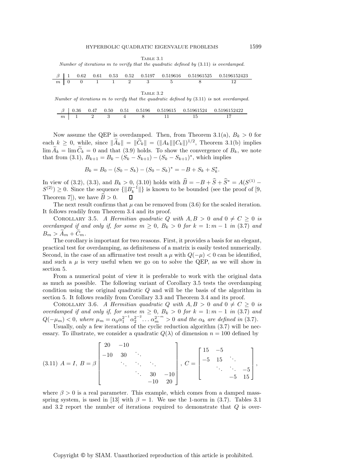Table 3.1

Number of iterations  $m$  to verify that the quadratic defined by  $(3.11)$  is overdamped.

|  |  |  |                                                            |  | $\beta$   1 0.62 0.61 0.53 0.52 0.5197 0.519616 0.51961525 0.5196152423 |
|--|--|--|------------------------------------------------------------|--|-------------------------------------------------------------------------|
|  |  |  | $m \mid 0 \quad 0 \quad 1 \quad 1 \quad 2 \quad 3 \quad 5$ |  |                                                                         |

Table 3.2

Number of iterations m to verify that the quadratic defined by  $(3.11)$  is not overdamped.

|            |  |  |  | $\beta$ 0.36 0.47 0.50 0.51 0.5196 0.519615 0.51961524 0.5196152422 |
|------------|--|--|--|---------------------------------------------------------------------|
| $m \mid 1$ |  |  |  |                                                                     |

Now assume the QEP is overdamped. Then, from Theorem 3.1(a),  $B_k > 0$  for each  $k \geq 0$ , while, since  $\|\widetilde{A}_k\| = \|\widetilde{C}_k\| = (\|A_k\| \|C_k\|)^{1/2}$ , Theorem 3.1(b) implies  $\lim \widetilde{A}_k = \lim \widetilde{C}_k = 0$  and that (3.9) holds. To show the convergence of  $B_k$ , we note that from (3.1),  $B_{k+1} = B_k - (S_k - S_{k+1}) - (S_k - S_{k+1})^*$ , which implies

$$
B_k = B_0 - (S_0 - S_k) - (S_0 - S_k)^* = -B + S_k + S_k^*.
$$

In view of (3.2), (3.3), and  $B_k > 0$ , (3.10) holds with  $\hat{B} = -B + \hat{S} + \hat{S}^* = A(S^{(1)} - \hat{S})$  $S^{(2)} \geq 0$ . Since the sequence  $\{||B_{k}^{-1}||\}$  is known to be bounded (see the proof of [9, Theorem 7]), we have  $\widehat{B} > 0$ .

The next result confirms that  $\mu$  can be removed from (3.6) for the scaled iteration. It follows readily from Theorem 3.4 and its proof.

COROLLARY 3.5. A Hermitian quadratic Q with  $A, B > 0$  and  $0 \neq C \geq 0$  is *overdamped if and only if, for some*  $m \geq 0$ ,  $B_k > 0$  *for*  $k = 1$ :  $m - 1$  *in* (3.7) *and*  $B_m > A_m + C_m$ .

The corollary is important for two reasons. First, it provides a basis for an elegant, practical test for overdamping, as definiteness of a matrix is easily tested numerically. Second, in the case of an affirmative test result a  $\mu$  with  $Q(-\mu) < 0$  can be identified, and such a  $\mu$  is very useful when we go on to solve the QEP, as we will show in section 5.

From a numerical point of view it is preferable to work with the original data as much as possible. The following variant of Corollary 3.5 tests the overdamping condition using the original quadratic Q and will be the basis of the algorithm in section 5. It follows readily from Corollary 3.3 and Theorem 3.4 and its proof.

COROLLARY 3.6. A Hermitian quadratic Q with  $A, B > 0$  and  $0 \neq C \geq 0$  is *overdamped if and only if, for some*  $m \geq 0$ ,  $B_k > 0$  *for*  $k = 1$ :  $m - 1$  *in* (3.7) *and*  $Q(-\mu_m) < 0$ , where  $\mu_m = \alpha_0 \alpha_1^{2^{-1}} \alpha_2^{2^{-2}} \dots \alpha_m^{2^{-m}} > 0$  and the  $\alpha_k$  are defined in (3.7).

Usually, only a few iterations of the cyclic reduction algorithm  $(3.7)$  will be necessary. To illustrate, we consider a quadratic  $Q(\lambda)$  of dimension  $n = 100$  defined by

$$
(3.11) \ A = I, \ B = \beta \begin{bmatrix} 20 & -10 \\ -10 & 30 & \ddots \\ & \ddots & \ddots & \ddots \\ & & & 30 & -10 \\ & & & -10 & 20 \end{bmatrix}, \ C = \begin{bmatrix} 15 & -5 \\ -5 & 15 & \ddots \\ & \ddots & \ddots & -5 \\ & & -5 & 15 \end{bmatrix},
$$

where  $\beta > 0$  is a real parameter. This example, which comes from a damped massspring system, is used in [13] with  $\beta = 1$ . We use the 1-norm in (3.7). Tables 3.1 and 3.2 report the number of iterations required to demonstrate that  $Q$  is over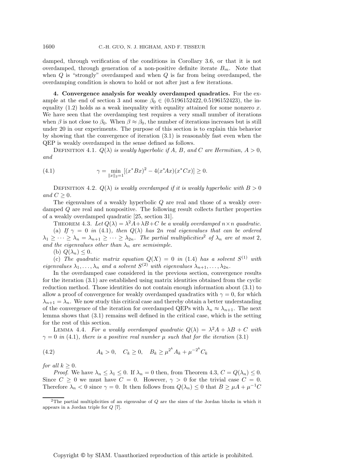damped, through verification of the conditions in Corollary 3.6, or that it is not overdamped, through generation of a non-positive definite iterate  $B_m$ . Note that when  $Q$  is "strongly" overdamped and when  $Q$  is far from being overdamped, the overdamping condition is shown to hold or not after just a few iterations.

**4. Convergence analysis for weakly overdamped quadratics.** For the example at the end of section 3 and some  $\beta_0 \in (0.5196152422, 0.5196152423)$ , the inequality  $(1.2)$  holds as a weak inequality with equality attained for some nonzero x. We have seen that the overdamping test requires a very small number of iterations when  $\beta$  is not close to  $\beta_0$ . When  $\beta \approx \beta_0$ , the number of iterations increases but is still under 20 in our experiments. The purpose of this section is to explain this behavior by showing that the convergence of iteration (3.1) is reasonably fast even when the QEP is weakly overdamped in the sense defined as follows.

DEFINITION 4.1.  $Q(\lambda)$  *is weakly hyperbolic if* A, B, and C are Hermitian,  $A > 0$ , *and*

(4.1) 
$$
\gamma = \min_{\|x\|_2 = 1} [(x^* B x)^2 - 4(x^* A x)(x^* C x)] \ge 0.
$$

DEFINITION 4.2.  $Q(\lambda)$  *is weakly overdamped if it is weakly hyperbolic with*  $B > 0$ *and*  $C > 0$ *.* 

The eigenvalues of a weakly hyperbolic Q are real and those of a weakly overdamped Q are real and nonpositive. The following result collects further properties of a weakly overdamped quadratic [25, section 31].

THEOREM 4.3. Let  $Q(\lambda) = \lambda^2 A + \lambda B + C$  be a weakly overdamped  $n \times n$  quadratic. (a) *If*  $\gamma = 0$  *in* (4.1)*, then*  $Q(\lambda)$  *has* 2*n real eigenvalues that can be ordered*  $\lambda_1 \geq \cdots \geq \lambda_n = \lambda_{n+1} \geq \cdots \geq \lambda_{2n}$ . The partial multiplicities<sup>2</sup> of  $\lambda_n$  are at most 2, *and the eigenvalues other than*  $\lambda_n$  *are semisimple.* 

(b)  $Q(\lambda_n) \leq 0$ .

(c) The quadratic matrix equation  $Q(X) = 0$  in (1.4) has a solvent  $S^{(1)}$  with *eigenvalues*  $\lambda_1, \ldots, \lambda_n$  *and a solvent*  $S^{(2)}$  *with eigenvalues*  $\lambda_{n+1}, \ldots, \lambda_{2n}$ *.* 

In the overdamped case considered in the previous section, convergence results for the iteration  $(3.1)$  are established using matrix identities obtained from the cyclic reduction method. Those identities do not contain enough information about (3.1) to allow a proof of convergence for weakly overdamped quadratics with  $\gamma = 0$ , for which  $\lambda_{n+1} = \lambda_n$ . We now study this critical case and thereby obtain a better understanding of the convergence of the iteration for overdamped QEPs with  $\lambda_n \approx \lambda_{n+1}$ . The next lemma shows that (3.1) remains well defined in the critical case, which is the setting for the rest of this section.

LEMMA 4.4. For a weakly overdamped quadratic  $Q(\lambda) = \lambda^2 A + \lambda B + C$  with  $\gamma = 0$  *in* (4.1)*, there is a positive real number*  $\mu$  *such that for the iteration* (3.1)

(4.2) 
$$
A_k > 0
$$
,  $C_k \ge 0$ ,  $B_k \ge \mu^{2^k} A_k + \mu^{-2^k} C_k$ 

*for all*  $k > 0$ *.* 

*Proof.* We have  $\lambda_n \leq \lambda_1 \leq 0$ . If  $\lambda_n = 0$  then, from Theorem 4.3,  $C = Q(\lambda_n) \leq 0$ . Since  $C \geq 0$  we must have  $C = 0$ . However,  $\gamma > 0$  for the trivial case  $C = 0$ . Therefore  $\lambda_n < 0$  since  $\gamma = 0$ . It then follows from  $Q(\lambda_n) \leq 0$  that  $B \geq \mu A + \mu^{-1}C$ 

<sup>&</sup>lt;sup>2</sup>The partial multiplicities of an eigenvalue of  $Q$  are the sizes of the Jordan blocks in which it appears in a Jordan triple for Q [7].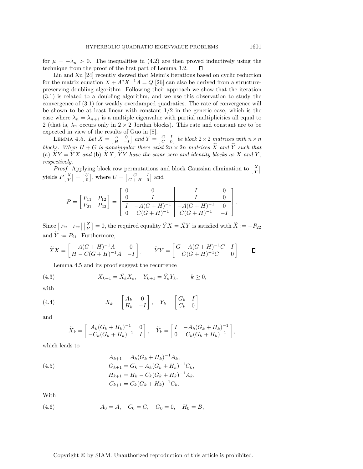for  $\mu = -\lambda_n > 0$ . The inequalities in (4.2) are then proved inductively using the technique from the proof of the first part of Lemma 3.2.  $\Box$ technique from the proof of the first part of Lemma 3.2.

Lin and Xu [24] recently showed that Meini's iterations based on cyclic reduction for the matrix equation  $X + A^*X^{-1}A = Q$  [26] can also be derived from a structurepreserving doubling algorithm. Following their approach we show that the iteration (3.1) is related to a doubling algorithm, and we use this observation to study the convergence of (3.1) for weakly overdamped quadratics. The rate of convergence will be shown to be at least linear with constant  $1/2$  in the generic case, which is the case where  $\lambda_n = \lambda_{n+1}$  is a multiple eigenvalue with partial multiplicities all equal to 2 (that is,  $\lambda_n$  occurs only in 2 × 2 Jordan blocks). This rate and constant are to be expected in view of the results of Guo in [8].

LEMMA 4.5. Let  $X = \begin{bmatrix} A & 0 \\ H & -I \end{bmatrix}$  $\int andY = \begin{bmatrix} G & I \\ C & 0 \end{bmatrix}$ *be block*  $2 \times 2$  *matrices with*  $n \times n$ *blocks. When*  $H + G$  *is nonsingular there exist*  $2n \times 2n$  *matrices*  $\widetilde{X}$  *and*  $\widetilde{Y}$  *such that* (a)  $\widetilde{X}Y = \widetilde{Y}X$  and (b)  $\widetilde{X}X$ ,  $\widetilde{Y}Y$  have the same zero and identity blocks as X and Y, *respectively.*

*Proof.* Applying block row permutations and block Gaussian elimination to  $\begin{bmatrix} X \\ Y \end{bmatrix}$ yields  $P\left[\frac{X}{Y}\right]$  $\left[\begin{smallmatrix} U \\ 0 \end{smallmatrix}\right] = \left[\begin{smallmatrix} U \\ 0 \end{smallmatrix}\right]$ , where  $U = \begin{bmatrix} G & I \\ G+H & 0 \end{bmatrix}$  $G + H = 0$ and

$$
P = \begin{bmatrix} P_{11} & P_{12} \\ P_{21} & P_{22} \end{bmatrix} = \begin{bmatrix} 0 & 0 & I & 0 \\ 0 & I & I & 0 \\ \hline I & -A(G+H)^{-1} & -A(G+H)^{-1} & 0 \\ 0 & C(G+H)^{-1} & C(G+H)^{-1} & -I \end{bmatrix}.
$$

Since  $[P_{21} \quad P_{22}] \begin{bmatrix} X \ Y \end{bmatrix} = 0$ , the required equality  $\widetilde{Y}X = \widetilde{X}Y$  is satisfied with  $\widetilde{X} := -P_{22}$ and  $\widetilde{Y} := P_{21}$ . Furthermore,

$$
\widetilde{X}X = \begin{bmatrix} A(G+H)^{-1}A & 0 \\ H-C(G+H)^{-1}A & -I \end{bmatrix}, \qquad \widetilde{Y}Y = \begin{bmatrix} G-A(G+H)^{-1}C & I \\ C(G+H)^{-1}C & 0 \end{bmatrix}.
$$

Lemma 4.5 and its proof suggest the recurrence

(4.3) 
$$
X_{k+1} = \tilde{X}_k X_k, \quad Y_{k+1} = \tilde{Y}_k Y_k, \qquad k \ge 0,
$$

with

(4.4) 
$$
X_k = \begin{bmatrix} A_k & 0 \\ H_k & -I \end{bmatrix}, \quad Y_k = \begin{bmatrix} G_k & I \\ C_k & 0 \end{bmatrix}
$$

and

$$
\widetilde{X}_k = \begin{bmatrix} A_k(G_k + H_k)^{-1} & 0 \\ -C_k(G_k + H_k)^{-1} & I \end{bmatrix}, \quad \widetilde{Y}_k = \begin{bmatrix} I & -A_k(G_k + H_k)^{-1} \\ 0 & C_k(G_k + H_k)^{-1} \end{bmatrix},
$$

which leads to

(4.5) 
$$
A_{k+1} = A_k (G_k + H_k)^{-1} A_k,
$$

$$
G_{k+1} = G_k - A_k (G_k + H_k)^{-1} C_k,
$$

$$
H_{k+1} = H_k - C_k (G_k + H_k)^{-1} A_k,
$$

$$
C_{k+1} = C_k (G_k + H_k)^{-1} C_k.
$$

With

(4.6) 
$$
A_0 = A, \quad C_0 = C, \quad G_0 = 0, \quad H_0 = B,
$$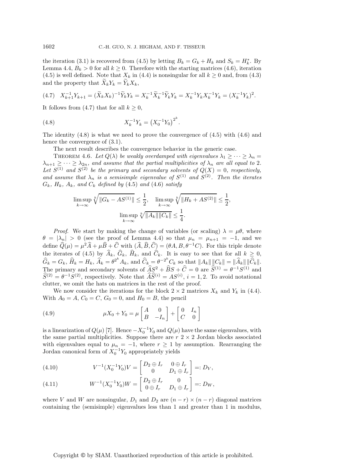the iteration (3.1) is recovered from (4.5) by letting  $B_k = G_k + H_k$  and  $S_k = H_k^*$ . By  $\Gamma$  anno 4.4,  $B_k > 0$  for all  $k > 0$ . Therefore with the starting matrices (4.6) iteration Lemma 4.4,  $B_k > 0$  for all  $k \geq 0$ . Therefore with the starting matrices (4.6), iteration (4.5) is well defined. Note that  $X_k$  in (4.4) is nonsingular for all  $k \ge 0$  and, from (4.3) and the property that  $\widetilde{X}_k Y_k = \widetilde{Y}_k X_k$ ,

$$
(4.7) \quad X_{k+1}^{-1}Y_{k+1} = (\widetilde{X}_k X_k)^{-1} \widetilde{Y}_k Y_k = X_k^{-1} \widetilde{X}_k^{-1} \widetilde{Y}_k Y_k = X_k^{-1} Y_k X_k^{-1} Y_k = (X_k^{-1} Y_k)^2.
$$

It follows from (4.7) that for all  $k \geq 0$ ,

(4.8) 
$$
X_k^{-1}Y_k = (X_0^{-1}Y_0)^{2^k}.
$$

The identity  $(4.8)$  is what we need to prove the convergence of  $(4.5)$  with  $(4.6)$  and hence the convergence of  $(3.1)$ .

The next result describes the convergence behavior in the generic case.

THEOREM 4.6. Let  $Q(\lambda)$  be weakly overdamped with eigenvalues  $\lambda_1 \geq \cdots \geq \lambda_n =$  $\lambda_{n+1} \geq \cdots \geq \lambda_{2n}$ , and assume that the partial multiplicities of  $\lambda_n$  are all equal to 2*.*<br>Let  $S^{(1)}$  and  $S^{(2)}$  be the primary and secondary solvents of  $Q(X) = 0$ , respectively, *and assume that*  $\lambda_n$  *is a semisimple eigenvalue of*  $S^{(1)}$  *and*  $S^{(2)}$ *. Then the iterates*  $G_k$ *,*  $H_k$ *,*  $A_k$ *, and*  $C_k$  *defined by* (4.5) *and* (4.6) *satisfy* 

$$
\limsup_{k \to \infty} \sqrt[k]{\|G_k - AS^{(1)}\|} \le \frac{1}{2}, \quad \limsup_{k \to \infty} \sqrt[k]{\|H_k + AS^{(2)}\|} \le \frac{1}{2},
$$

$$
\limsup_{k \to \infty} \sqrt[k]{\|A_k\| \|C_k\|} \le \frac{1}{4}.
$$

*Proof.* We start by making the change of variables (or scaling)  $\lambda = \mu \theta$ , where  $\theta = |\lambda_n| > 0$  (see the proof of Lemma 4.4) so that  $\mu_n = \mu_{n+1} = -1$ , and we define  $\hat{Q}(\mu) = \mu^2 \hat{A} + \mu \hat{B} + \hat{C}$  with  $(\hat{A}, \hat{B}, \hat{C}) = (\theta A, B, \theta^{-1}C)$ . For this triple denote the iterates of (4.5) by  $A_k$ ,  $G_k$ ,  $H_k$ , and  $C_k$ . It is easy to see that for all  $k \geq 0$ ,<br>  $\widehat{G} = G_k \widehat{H} = \overbrace{G_k}^{G_k} \widehat{H} = G_k \widehat{H} = G_k \widehat{H} = G_k \widehat{H} = G_k \widehat{H} = G_k \widehat{H} = G_k \widehat{H} = G_k \widehat{H} = G_k \widehat{H} = G_k \widehat{H} = G_k \widehat{H} = G$  $\widehat{G}_k = G_k$ ,  $\widehat{H}_k = H_k$ ,  $\widehat{A}_k = \theta^{2^k} A_k$ , and  $\widehat{C}_k = \theta^{-2^k} C_k$  so that  $||A_k|| ||C_k|| = ||\widehat{A}_k|| ||\widehat{C}_k||$ . The primary and secondary solvents of  $\widehat{AS}^2 + \widehat{BS} + \widehat{C} = 0$  are  $\widehat{S}^{(1)} = \theta^{-1}S^{(1)}$  and  $\widehat{S}^{(2)} = \theta^{-1} S^{(2)}$ , respectively. Note that  $\widehat{A}\widehat{S}^{(i)} = AS^{(i)}$ ,  $i = 1, 2$ . To avoid notational clutter, we omit the hats on matrices in the rest of the proof.

We now consider the iterations for the block  $2 \times 2$  matrices  $X_k$  and  $Y_k$  in (4.4). With  $A_0 = A, C_0 = C, G_0 = 0, \text{ and } H_0 = B$ , the pencil

(4.9) 
$$
\mu X_0 + Y_0 = \mu \begin{bmatrix} A & 0 \\ B & -I_n \end{bmatrix} + \begin{bmatrix} 0 & I_n \\ C & 0 \end{bmatrix}
$$

is a linearization of  $Q(\mu)$  [7]. Hence  $-X_0^{-1}Y_0$  and  $Q(\mu)$  have the same eigenvalues, with the same partial multiplicities. Suppose there are  $r \geq 2 \times 2$  Jordan blocks associated with eigenvalues equal to  $\mu_n = -1$ , where  $r \geq 1$  by assumption. Rearranging the Jordan canonical form of  $X_0^{-1}Y_0$  appropriately yields

(4.10) 
$$
V^{-1}(X_0^{-1}Y_0)V = \begin{bmatrix} D_2 \oplus I_r & 0 \oplus I_r \\ 0 & D_1 \oplus I_r \end{bmatrix} =: D_V,
$$

(4.11) 
$$
W^{-1}(X_0^{-1}Y_0)W = \begin{bmatrix} D_2 \oplus I_r & 0 \\ 0 \oplus I_r & D_1 \oplus I_r \end{bmatrix} =: D_W,
$$

where V and W are nonsingular,  $D_1$  and  $D_2$  are  $(n - r) \times (n - r)$  diagonal matrices containing the (semisimple) eigenvalues less than 1 and greater than 1 in modulus,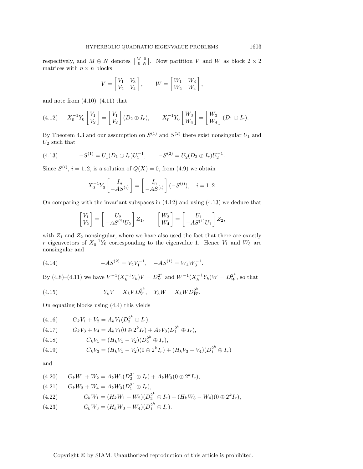respectively, and  $M \oplus N$  denotes  $\begin{bmatrix} M & 0 \\ 0 & N \end{bmatrix}$ . Now partition V and W as block  $2 \times 2$ matrices with  $n \times n$  blocks

$$
V = \begin{bmatrix} V_1 & V_3 \\ V_2 & V_4 \end{bmatrix}, \qquad W = \begin{bmatrix} W_1 & W_3 \\ W_2 & W_4 \end{bmatrix},
$$

and note from  $(4.10)$ – $(4.11)$  that

$$
(4.12) \t X_0^{-1} Y_0 \begin{bmatrix} V_1 \\ V_2 \end{bmatrix} = \begin{bmatrix} V_1 \\ V_2 \end{bmatrix} (D_2 \oplus I_r), \t X_0^{-1} Y_0 \begin{bmatrix} W_3 \\ W_4 \end{bmatrix} = \begin{bmatrix} W_3 \\ W_4 \end{bmatrix} (D_1 \oplus I_r).
$$

By Theorem 4.3 and our assumption on  $S^{(1)}$  and  $S^{(2)}$  there exist nonsingular  $U_1$  and  $U_2$  such that

(4.13) 
$$
-S^{(1)} = U_1(D_1 \oplus I_r)U_1^{-1}, \qquad -S^{(2)} = U_2(D_2 \oplus I_r)U_2^{-1}.
$$

Since  $S^{(i)}$ ,  $i = 1, 2$ , is a solution of  $Q(X) = 0$ , from  $(4.9)$  we obtain

$$
X_0^{-1}Y_0\begin{bmatrix}I_n\\-AS^{(i)}\end{bmatrix}=\begin{bmatrix}I_n\\-AS^{(i)}\end{bmatrix}(-S^{(i)}),\quad i=1,2.
$$

On comparing with the invariant subspaces in (4.12) and using (4.13) we deduce that

$$
\begin{bmatrix} V_1 \\ V_2 \end{bmatrix} = \begin{bmatrix} U_2 \\ -AS^{(2)}U_2 \end{bmatrix} Z_1, \qquad \begin{bmatrix} W_3 \\ W_4 \end{bmatrix} = \begin{bmatrix} U_1 \\ -AS^{(1)}U_1 \end{bmatrix} Z_2,
$$

with  $Z_1$  and  $Z_2$  nonsingular, where we have also used the fact that there are exactly r eigenvectors of  $X_0^{-1}Y_0$  corresponding to the eigenvalue 1. Hence  $V_1$  and  $W_3$  are nonsingular and

(4.14) 
$$
-AS^{(2)} = V_2 V_1^{-1}, \quad -AS^{(1)} = W_4 W_3^{-1}.
$$

By (4.8)–(4.11) we have  $V^{-1}(X_k^{-1}Y_k)V = D_V^{2^k}$  and  $W^{-1}(X_k^{-1}Y_k)W = D_W^{2^k}$ , so that

(4.15) 
$$
Y_k V = X_k V D_V^{2^k}, \quad Y_k W = X_k W D_W^{2^k}.
$$

On equating blocks using (4.4) this yields

(4.16) 
$$
G_k V_1 + V_2 = A_k V_1 (D_2^{2^k} \oplus I_r),
$$
  
(4.17) 
$$
G_k V_3 + V_4 = A_k V_1 (0 \oplus 2^k I_r) + A_k V_3 (D_1^{2^k} \oplus I_r),
$$
  
(4.18) 
$$
C_k V_1 = (H_k V_1 - V_2)(D_2^{2^k} \oplus I_r),
$$
  
(4.19) 
$$
C_k V_3 = (H_k V_1 - V_2)(0 \oplus 2^k I_r) + (H_k V_3 - V_4)(D_1^{2^k} \oplus I_r)
$$

and

$$
(4.20) \tGkW1 + W2 = AkW1(D22k \oplus Ir) + AkW3(0 \oplus 2kIr),(4.21) \tGkW3 + W4 = AkW3(D12k \oplus Ir),(4.22) \tCkW1 = (HkW1 - W2)(D22k \oplus Ir) + (HkW3 - W4)(0 \oplus 2kIr),(4.23) \tCkW3 = (HkW3 - W4)(D12k \oplus Ir).
$$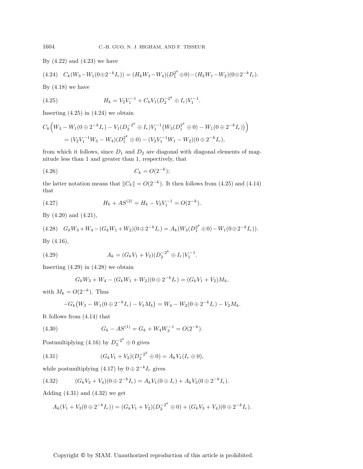By  $(4.22)$  and  $(4.23)$  we have

$$
(4.24) \quad C_k(W_3 - W_1(0 \oplus 2^{-k} I_r)) = (H_k W_3 - W_4)(D_1^{2^k} \oplus 0) - (H_k W_1 - W_2)(0 \oplus 2^{-k} I_r).
$$

By  $(4.18)$  we have

(4.25) 
$$
H_k = V_2 V_1^{-1} + C_k V_1 (D_2^{-2^k} \oplus I_r) V_1^{-1}.
$$

Inserting  $(4.25)$  in  $(4.24)$  we obtain

$$
C_k\Big(W_3 - W_1(0 \oplus 2^{-k}I_r) - V_1(D_2^{-2^k} \oplus I_r)V_1^{-1}\big(W_3(D_1^{2^k} \oplus 0) - W_1(0 \oplus 2^{-k}I_r)\big)\Big) = (V_2V_1^{-1}W_3 - W_4)(D_1^{2^k} \oplus 0) - (V_2V_1^{-1}W_1 - W_2)(0 \oplus 2^{-k}I_r),
$$

from which it follows, since  $D_1$  and  $D_2$  are diagonal with diagonal elements of magnitude less than 1 and greater than 1, respectively, that

(4.26) 
$$
C_k = O(2^{-k});
$$

the latter notation means that  $||C_k|| = O(2^{-k})$ . It then follows from (4.25) and (4.14) that

(4.27) 
$$
H_k + AS^{(2)} = H_k - V_2 V_1^{-1} = O(2^{-k}).
$$

By (4.20) and (4.21),

$$
(4.28) \quad G_k W_3 + W_4 - (G_k W_1 + W_2)(0 \oplus 2^{-k} I_r) = A_k (W_3 (D_1^{2^k} \oplus 0) - W_1 (0 \oplus 2^{-k} I_r)).
$$

By (4.16),

(4.29) 
$$
A_k = (G_k V_1 + V_2)(D_2^{-2^k} \oplus I_r)V_1^{-1}.
$$

Inserting  $(4.29)$  in  $(4.28)$  we obtain

$$
G_k W_3 + W_4 - (G_k W_1 + W_2)(0 \oplus 2^{-k} I_r) = (G_k V_1 + V_2) M_k,
$$

with  $M_k = O(2^{-k})$ . Thus

$$
-G_k(W_3-W_1(0\oplus 2^{-k}I_r)-V_1M_k)=W_4-W_2(0\oplus 2^{-k}I_r)-V_2M_k.
$$

It follows from (4.14) that

(4.30) 
$$
G_k - AS^{(1)} = G_k + W_4 W_3^{-1} = O(2^{-k}).
$$

Postmultiplying (4.16) by  $D_2^{-2^k} \oplus 0$  gives

(4.31) 
$$
(G_k V_1 + V_2)(D_2^{-2^k} \oplus 0) = A_k V_1 (I_r \oplus 0),
$$

while postmultiplying (4.17) by  $0 \oplus 2^{-k}I_r$  gives

$$
(4.32) \qquad (G_k V_3 + V_4)(0 \oplus 2^{-k} I_r) = A_k V_1(0 \oplus I_r) + A_k V_3(0 \oplus 2^{-k} I_r).
$$

Adding  $(4.31)$  and  $(4.32)$  we get

$$
A_k(V_1 + V_3(0 \oplus 2^{-k}I_r)) = (G_kV_1 + V_2)(D_2^{-2^k} \oplus 0) + (G_kV_3 + V_4)(0 \oplus 2^{-k}I_r).
$$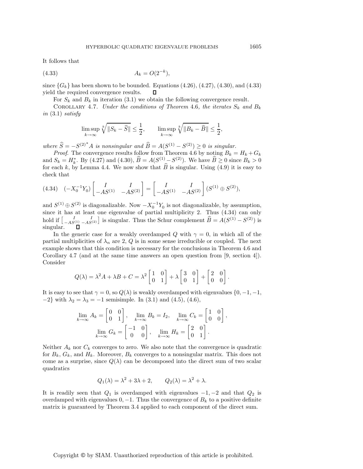It follows that

$$
(4.33) \t\t A_k = O(2^{-k}),
$$

since  ${G_k}$  has been shown to be bounded. Equations (4.26), (4.27), (4.30), and (4.33) vield the required convergence results.  $\square$ yield the required convergence results.

For  $S_k$  and  $B_k$  in iteration (3.1) we obtain the following convergence result.

COROLLARY 4.7. *Under the conditions of Theorem* 4.6*, the iterates*  $S_k$  *and*  $B_k$ *in* (3.1) *satisfy*

$$
\limsup_{k \to \infty} \sqrt[k]{\|S_k - \widehat{S}\|} \le \frac{1}{2}, \qquad \limsup_{k \to \infty} \sqrt[k]{\|B_k - \widehat{B}\|} \le \frac{1}{2},
$$

*where*  $\widehat{S} = -S^{(2)^*}A$  *is nonsingular and*  $\widehat{B} = A(S^{(1)} - S^{(2)}) \ge 0$  *is singular.* 

*Proof.* The convergence results follow from Theorem 4.6 by noting  $B_k = H_k + G_k$ and  $S_k = H_k^*$ . By (4.27) and (4.30),  $\hat{B} = A(S^{(1)} - S^{(2)})$ . We have  $\hat{B} \ge 0$  since  $B_k > 0$ <br>for each k, by Lemma 4.4. We now show that  $\hat{B}$  is singular. Heing (4.9) it is easy to for each k, by Lemma 4.4. We now show that  $\widehat{B}$  is singular. Using (4.9) it is easy to check that

$$
(4.34) \quad (-X_0^{-1}Y_0) \begin{bmatrix} I & I \\ -AS^{(1)} & -AS^{(2)} \end{bmatrix} = \begin{bmatrix} I & I \\ -AS^{(1)} & -AS^{(2)} \end{bmatrix} (S^{(1)} \oplus S^{(2)}),
$$

and  $S^{(1)} \oplus S^{(2)}$  is diagonalizable. Now  $-X_0^{-1}Y_0$  is not diagonalizable, by assumption, since it has at least one eigenvalue of partial multiplicity 2. Thus (4.34) can only hold if  $\begin{bmatrix} I & I \ -AS^{(1)} & -AS^{(2)} \end{bmatrix}$  is singular. Thus the Schur complement  $\widehat{B} = A(S^{(1)} - S^{(2)})$  is singular. singular.

In the generic case for a weakly overdamped Q with  $\gamma = 0$ , in which all of the partial multiplicities of  $\lambda_n$  are 2, Q is in some sense irreducible or coupled. The next example shows that this condition is necessary for the conclusions in Theorem 4.6 and Corollary 4.7 (and at the same time answers an open question from [9, section 4]). Consider

$$
Q(\lambda) = \lambda^2 A + \lambda B + C = \lambda^2 \begin{bmatrix} 1 & 0 \\ 0 & 1 \end{bmatrix} + \lambda \begin{bmatrix} 3 & 0 \\ 0 & 1 \end{bmatrix} + \begin{bmatrix} 2 & 0 \\ 0 & 0 \end{bmatrix}.
$$

It is easy to see that  $\gamma = 0$ , so  $Q(\lambda)$  is weakly overdamped with eigenvalues  $\{0, -1, -1, \ldots\}$  $-2$ } with  $\lambda_2 = \lambda_3 = -1$  semisimple. In (3.1) and (4.5), (4.6),

$$
\lim_{k \to \infty} A_k = \begin{bmatrix} 0 & 0 \\ 0 & 1 \end{bmatrix}, \quad \lim_{k \to \infty} B_k = I_2, \quad \lim_{k \to \infty} C_k = \begin{bmatrix} 1 & 0 \\ 0 & 0 \end{bmatrix},
$$

$$
\lim_{k \to \infty} G_k = \begin{bmatrix} -1 & 0 \\ 0 & 0 \end{bmatrix}, \quad \lim_{k \to \infty} H_k = \begin{bmatrix} 2 & 0 \\ 0 & 1 \end{bmatrix}.
$$

Neither  $A_k$  nor  $C_k$  converges to zero. We also note that the convergence is quadratic for  $B_k$ ,  $G_k$ , and  $H_k$ . Moreover,  $B_k$  converges to a nonsingular matrix. This does not come as a surprise, since  $Q(\lambda)$  can be decomposed into the direct sum of two scalar quadratics

$$
Q_1(\lambda) = \lambda^2 + 3\lambda + 2, \qquad Q_2(\lambda) = \lambda^2 + \lambda.
$$

It is readily seen that  $Q_1$  is overdamped with eigenvalues  $-1, -2$  and that  $Q_2$  is overdamped with eigenvalues  $0, -1$ . Thus the convergence of  $B_k$  to a positive definite matrix is guaranteed by Theorem 3.4 applied to each component of the direct sum.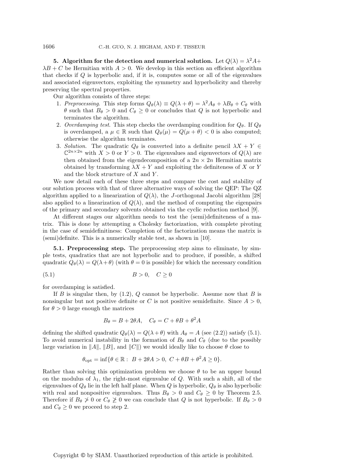**5.** Algorithm for the detection and numerical solution. Let  $Q(\lambda) = \lambda^2 A +$  $\lambda B + C$  be Hermitian with  $A > 0$ . We develop in this section an efficient algorithm that checks if Q is hyperbolic and, if it is, computes some or all of the eigenvalues and associated eigenvectors, exploiting the symmetry and hyperbolicity and thereby preserving the spectral properties.

Our algorithm consists of three steps:

- 1. *Preprocessing*. This step forms  $Q_{\theta}(\lambda) \equiv Q(\lambda + \theta) = \lambda^2 A_{\theta} + \lambda B_{\theta} + C_{\theta}$  with  $\theta$  such that  $B_{\theta} > 0$  and  $C_{\theta} \geq 0$  or concludes that Q is not hyperbolic and terminates the algorithm.
- 2. *Overdamping test*. This step checks the overdamping condition for  $Q_{\theta}$ . If  $Q_{\theta}$ is overdamped, a  $\mu \in \mathbb{R}$  such that  $Q_{\theta}(\mu) = Q(\mu + \theta) < 0$  is also computed; otherwise the algorithm terminates.
- 3. *Solution*. The quadratic  $Q_{\theta}$  is converted into a definite pencil  $\lambda X + Y \in$  $\mathbb{C}^{2n\times 2n}$  with  $X>0$  or  $Y>0$ . The eigenvalues and eigenvectors of  $Q(\lambda)$  are then obtained from the eigendecomposition of a  $2n \times 2n$  Hermitian matrix obtained by transforming  $\lambda X + Y$  and exploiting the definiteness of X or Y and the block structure of  $X$  and  $Y$ .

We now detail each of these three steps and compare the cost and stability of our solution process with that of three alternative ways of solving the QEP: The QZ algorithm applied to a linearization of  $Q(\lambda)$ , the J-orthogonal Jacobi algorithm [28] also applied to a linearization of  $Q(\lambda)$ , and the method of computing the eigenpairs of the primary and secondary solvents obtained via the cyclic reduction method [9].

At different stages our algorithm needs to test the (semi)definiteness of a matrix. This is done by attempting a Cholesky factorization, with complete pivoting in the case of semidefinitiness: Completion of the factorization means the matrix is (semi)definite. This is a numerically stable test, as shown in [10].

**5.1. Preprocessing step.** The preprocessing step aims to eliminate, by simple tests, quadratics that are not hyperbolic and to produce, if possible, a shifted quadratic  $Q_{\theta}(\lambda) = Q(\lambda + \theta)$  (with  $\theta = 0$  is possible) for which the necessary condition

$$
(5.1) \t\t B > 0, \quad C \ge 0
$$

for overdamping is satisfied.

If B is singular then, by  $(1.2)$ , Q cannot be hyperbolic. Assume now that B is nonsingular but not positive definite or C is not positive semidefinite. Since  $A > 0$ , for  $\theta > 0$  large enough the matrices

$$
B_{\theta} = B + 2\theta A, \quad C_{\theta} = C + \theta B + \theta^2 A
$$

defining the shifted quadratic  $Q_{\theta}(\lambda) = Q(\lambda + \theta)$  with  $A_{\theta} = A$  (see (2.2)) satisfy (5.1). To avoid numerical instability in the formation of  $B_{\theta}$  and  $C_{\theta}$  (due to the possibly large variation in  $||A||$ ,  $||B||$ , and  $||C||$  we would ideally like to choose  $\theta$  close to

$$
\theta_{\text{opt}} = \inf \{ \theta \in \mathbb{R} : B + 2\theta A > 0, C + \theta B + \theta^2 A \ge 0 \}.
$$

Rather than solving this optimization problem we choose  $\theta$  to be an upper bound on the modulus of  $\lambda_1$ , the right-most eigenvalue of Q. With such a shift, all of the eigenvalues of  $Q_{\theta}$  lie in the left half plane. When Q is hyperbolic,  $Q_{\theta}$  is also hyperbolic with real and nonpositive eigenvalues. Thus  $B_{\theta} > 0$  and  $C_{\theta} \ge 0$  by Theorem 2.5. Therefore if  $B_{\theta} \ngeq 0$  or  $C_{\theta} \ngeq 0$  we can conclude that Q is not hyperbolic. If  $B_{\theta} > 0$ and  $C_{\theta} \geq 0$  we proceed to step 2.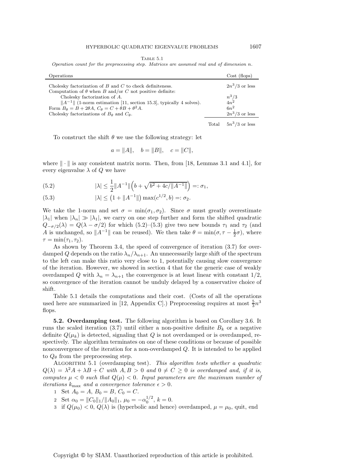| I`A BLE |  |  |
|---------|--|--|
|---------|--|--|

Operation count for the preprocessing step. Matrices are assumed real and of dimension  $n$ .

| Operations                                                                                                                                                                 |                | Cost (flops)         |
|----------------------------------------------------------------------------------------------------------------------------------------------------------------------------|----------------|----------------------|
| Cholesky factorization of $B$ and $C$ to check definiteness.                                                                                                               |                | $2n^3/3$ or less     |
| Computation of $\theta$ when B and/or C not positive definite:<br>Cholesky factorization of A.<br>$  A^{-1}  $ (1-norm estimation [11, section 15.3], typically 4 solves). |                | $\frac{n^3/3}{4n^2}$ |
| Form $B_{\theta} = B + 2\theta A$ , $C_{\theta} = C + \theta B + \theta^2 A$ .                                                                                             |                | $6n^2$               |
| Cholesky factorizations of $B_{\theta}$ and $C_{\theta}$ .                                                                                                                 |                | $2n^3/3$ or less     |
|                                                                                                                                                                            | $_{\rm Total}$ | $5n^3/3$ or less     |

To construct the shift  $\theta$  we use the following strategy: let

$$
a = ||A||, \quad b = ||B||, \quad c = ||C||,
$$

where  $\|\cdot\|$  is any consistent matrix norm. Then, from [18, Lemmas 3.1 and 4.1], for every eigenvalue  $\lambda$  of Q we have

(5.2) 
$$
|\lambda| \leq \frac{1}{2} ||A^{-1}|| \left( b + \sqrt{b^2 + 4c/||A^{-1}||} \right) =: \sigma_1,
$$

(5.3) 
$$
|\lambda| \le (1 + ||A^{-1}||) \max(c^{1/2}, b) =: \sigma_2.
$$

We take the 1-norm and set  $\sigma = \min(\sigma_1, \sigma_2)$ . Since  $\sigma$  must greatly overestimate  $|\lambda_1|$  when  $|\lambda_n| \gg |\lambda_1|$ , we carry on one step further and form the shifted quadratic  $Q_{-\sigma/2}(\lambda) = Q(\lambda - \sigma/2)$  for which (5.2)–(5.3) give two new bounds  $\tau_1$  and  $\tau_2$  (and A is unchanged, so  $||A^{-1}||$  can be reused). We then take  $\theta = \min(\sigma, \tau - \frac{1}{2}\sigma)$ , where  $\tau = \min(\tau_1, \tau_2).$ 

As shown by Theorem 3.4, the speed of convergence of iteration (3.7) for overdamped Q depends on the ratio  $\lambda_n/\lambda_{n+1}$ . An unnecessarily large shift of the spectrum to the left can make this ratio very close to 1, potentially causing slow convergence of the iteration. However, we showed in section 4 that for the generic case of weakly overdamped Q with  $\lambda_n = \lambda_{n+1}$  the convergence is at least linear with constant  $1/2$ , so convergence of the iteration cannot be unduly delayed by a conservative choice of shift.

Table 5.1 details the computations and their cost. (Costs of all the operations used here are summarized in [12, Appendix C].) Preprocessing requires at most  $\frac{5}{3}n^3$ flops.

**5.2. Overdamping test.** The following algorithm is based on Corollary 3.6. It runs the scaled iteration (3.7) until either a non-positive definite  $B_k$  or a negative definite  $Q(\mu_k)$  is detected, signaling that Q is not overdamped or is overdamped, respectively. The algorithm terminates on one of these conditions or because of possible nonconvergence of the iteration for a non-overdamped Q. It is intended to be applied to  $Q_{\theta}$  from the preprocessing step.

Algorithm 5.1 (overdamping test). *This algorithm tests whether a quadratic*  $Q(\lambda) = \lambda^2 A + \lambda B + C$  with  $A, B > 0$  and  $0 \neq C \geq 0$  is overdamped and, if it is, *computes*  $\mu < 0$  *such that*  $Q(\mu) < 0$ *. Input parameters are the maximum number of iterations*  $k_{\text{max}}$  *and a convergence tolerance*  $\epsilon > 0$ *.* 

- 1 Set  $A_0 = A$ ,  $B_0 = B$ ,  $C_0 = C$ .
- 2 Set  $\alpha_0 = ||C_0||_1/||A_0||_1$ ,  $\mu_0 = -\alpha_0^{1/2}$ ,  $k = 0$ .
- 3 if  $Q(\mu_0) < 0$ ,  $Q(\lambda)$  is (hyperbolic and hence) overdamped,  $\mu = \mu_0$ , quit, end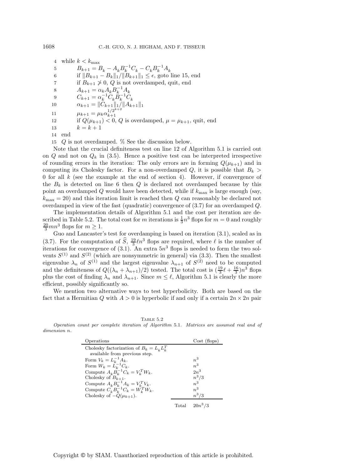4 while  $k < k_{\rm max}$ 5  $B_{k+1} = B_k - A_k B_k^{-1} C_k - C_k B_k^{-1} A_k$ <br>6 if  $\|B_{k+1} - B_k\|_k / \|B_{k+1}\|_k \le \epsilon$  and 0 6 if  $||B_{k+1} - B_k||_1 / ||B_{k+1}||_1 \leq \epsilon$ , goto line 15, end 7 if  $B_{k+1} \ngeq 0$ , Q is not overdamped, quit, end<br>8  $A_{k+1} = \alpha_k A_k B_k^{-1} A_k$ 8  $A_{k+1} = \alpha_k A_k B_k^{-1} A_k$ <br>  $B_k = \alpha_k B_k^{-1} C_k B_k^{-1} C_k$ 9  $C_{k+1} = \alpha_k^{-1} C_k B_k^{-1} C_k$ <br>  $\alpha_{k+1} = ||C_{k+1}||_A ||A_k||_A$ 10  $\alpha_{k+1} = ||C_{k+1}||_1/||A_{k+1}||_1$ 11  $\mu_{k+1} = \mu_k \alpha_{k+1}^{1/2^{k+2}}$  $_{1}^{k+1}$ 12 if  $Q(\mu_{k+1}) < 0$ ,  $Q$  is overdamped,  $\mu = \mu_{k+1}$ , quit, end<br>13  $k = k+1$  $k = k + 1$ 14 end

15 Q is not overdamped. % See the discussion below.

Note that the crucial definiteness test on line 12 of Algorithm 5.1 is carried out on Q and not on  $Q_k$  in (3.5). Hence a positive test can be interpreted irrespective of rounding errors in the iteration: The only errors are in forming  $Q(\mu_{k+1})$  and in computing its Cholesky factor. For a non-overdamped Q, it is possible that  $B_k$ 0 for all  $k$  (see the example at the end of section 4). However, if convergence of the  $B_k$  is detected on line 6 then Q is declared not overdamped because by this point an overdamped  $Q$  would have been detected, while if  $k_{\text{max}}$  is large enough (say,  $k_{\text{max}} = 20$ ) and this iteration limit is reached then Q can reasonably be declared not overdamped in view of the fast (quadratic) convergence of (3.7) for an overdamped Q.

The implementation details of Algorithm 5.1 and the cost per iteration are described in Table 5.2. The total cost for m iterations is  $\frac{1}{3}n^3$  flops for  $m = 0$  and roughly  $\frac{20}{3}mn^3$  flops for  $m \ge 1$ .

Guo and Lancaster's test for overdamping is based on iteration (3.1), scaled as in (3.7). For the computation of  $\hat{S}$ ,  $\frac{19}{3}$   $\ell n^3$  flops are required, where  $\ell$  is the number of iterations for convergence of  $(3.1)$ . An extra  $5n<sup>3</sup>$  flops is needed to form the two solvents  $S^{(1)}$  and  $S^{(2)}$  (which are nonsymmetric in general) via (3.3). Then the smallest eigenvalue  $\lambda_n$  of  $S^{(1)}$  and the largest eigenvalue  $\lambda_{n+1}$  of  $S^{(2)}$  need to be computed and the definiteness of  $Q((\lambda_n + \lambda_{n+1})/2)$  tested. The total cost is  $(\frac{19}{3}\ell + \frac{16}{3})n^3$  flops<br>where the sect of finding  $\lambda$  and  $\lambda$ . Since  $m \le \ell$ , Algorithm 5.1 is clearly the means plus the cost of finding  $\lambda_n$  and  $\lambda_{n+1}$ . Since  $m \leq \ell$ , Algorithm 5.1 is clearly the more efficient, possibly significantly so.

We mention two alternative ways to test hyperbolicity. Both are based on the fact that a Hermitian Q with  $A > 0$  is hyperbolic if and only if a certain  $2n \times 2n$  pair

TABLE 5.2 Operation count per complete iteration of Algorithm 5.1. Matrices are assumed real and of dimension n.

| Operations                                                           |                | Cost (flops) |
|----------------------------------------------------------------------|----------------|--------------|
| Cholesky factorization of $B_k = L_k L_k^T$                          |                |              |
| available from previous step.                                        |                |              |
| Form $V_k = L_k^{-1} A_k$ .                                          |                | $n^3$        |
| Form $W_k = \tilde{L}_k^{-1} C_k$ .                                  |                | $n^3$        |
| Compute $A_k \ddot{B_k}^{-1} C_k = V_k^T W_k$ .                      |                | $2n^3$       |
| Cholesky of $B_{k+1}$ .                                              |                | $n^3/3$      |
| Compute $A_k B_k^{-1} A_k = V_k^T V_k$ .                             |                | $n^3$        |
| Compute $C_k^{\uparrow} B_k^{\stackrel{\sim}{-}1} C_k = W_k^T W_k$ . |                | $n^3$        |
| Cholesky of $-Q(\mu_{k+1})$ .                                        |                | $n^3/3$      |
|                                                                      | $_{\rm Total}$ | $20n^3/3$    |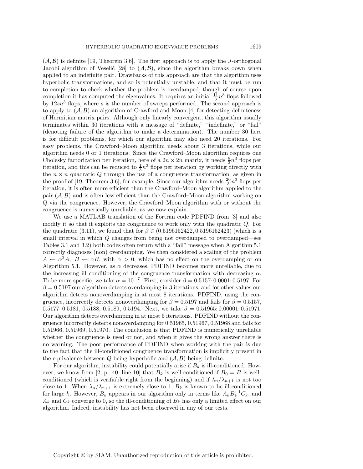$(\mathcal{A}, \mathcal{B})$  is definite [19, Theorem 3.6]. The first approach is to apply the J-orthogonal Jacobi algorithm of Veselić [28] to  $(\mathcal{A}, \mathcal{B})$ , since the algorithm breaks down when applied to an indefinite pair. Drawbacks of this approach are that the algorithm uses hyperbolic transformations, and so is potentially unstable, and that it must be run to completion to check whether the problem is overdamped, though of course upon completion it has computed the eigenvalues. It requires an initial  $\frac{11}{3}n^3$  flops followed by  $12sn^3$  flops, where s is the number of sweeps performed. The second approach is to apply to  $(\mathcal{A}, \mathcal{B})$  an algorithm of Crawford and Moon [4] for detecting definiteness of Hermitian matrix pairs. Although only linearly convergent, this algorithm usually terminates within 30 iterations with a message of "definite," "indefinite," or "fail" (denoting failure of the algorithm to make a determination). The number 30 here is for difficult problems, for which our algorithm may also need 20 iterations. For easy problems, the Crawford–Moon algorithm needs about 3 iterations, while our algorithm needs 0 or 1 iterations. Since the Crawford–Moon algorithm requires one Cholesky factorization per iteration, here of a  $2n \times 2n$  matrix, it needs  $\frac{8}{3}n^3$  flops per iteration, and this can be reduced to  $\frac{1}{3}n^3$  flops per iteration by working directly with the  $n \times n$  quadratic Q through the use of a congruence transformation, as given in the proof of [19, Theorem 3.6], for example. Since our algorithm needs  $\frac{20}{3}n^3$  flops per iteration, it is often more efficient than the Crawford–Moon algorithm applied to the pair  $(A, B)$  and is often less efficient than the Crawford–Moon algorithm working on Q via the congruence. However, the Crawford–Moon algorithm with or without the

congruence is numerically unreliable, as we now explain. We use a MATLAB translation of the Fortran code PDFIND from [3] and also modify it so that it exploits the congruence to work only with the quadratic Q. For the quadratic (3.11), we found that for  $\beta \in (0.5196152422, 0.5196152423)$  (which is a small interval in which  $Q$  changes from being not overdamped to overdamped—see Tables 3.1 and 3.2) both codes often return with a "fail" message when Algorithm 5.1 correctly diagnoses (non) overdamping. We then considered a scaling of the problem  $A \leftarrow \alpha^2 A$ ,  $B \leftarrow \alpha B$ , with  $\alpha > 0$ , which has no effect on the overdamping or on Algorithm 5.1. However, as  $\alpha$  decreases, PDFIND becomes more unreliable, due to the increasing ill conditioning of the congruence transformation with decreasing  $\alpha$ . To be more specific, we take  $\alpha = 10^{-7}$ . First, consider  $\beta = 0.5157:0.0001:0.5197$ . For  $\beta = 0.5197$  our algorithm detects overdamping in 3 iterations, and for other values our algorithm detects nonoverdamping in at most 8 iterations. PDFIND, using the congruence, incorrectly detects nonoverdamping for  $\beta = 0.5197$  and fails for  $\beta = 0.5157$ , 0.5177–0.5181, 0.5188, 0.5189, 0.5194. Next, we take  $\beta = 0.51965: 0.00001: 0.51971$ . Our algorithm detects overdamping in at most 5 iterations. PDFIND without the congruence incorrectly detects nonoverdamping for 0.51965, 0.51967, 0.51968 and fails for 0.51966, 0.51969, 0.51970. The conclusion is that PDFIND is numerically unreliable whether the congruence is used or not, and when it gives the wrong answer there is no warning. The poor performance of PDFIND when working with the pair is due to the fact that the ill-conditioned congruence transformation is implicitly present in the equivalence between  $Q$  being hyperbolic and  $(A, B)$  being definite.

For our algorithm, instability could potentially arise if  $B_k$  is ill-conditioned. However, we know from [2, p. 40, line 10] that  $B_k$  is well-conditioned if  $B_0 = B$  is wellconditioned (which is verifiable right from the beginning) and if  $\lambda_n/\lambda_{n+1}$  is not too close to 1. When  $\lambda_n/\lambda_{n+1}$  is extremely close to 1,  $B_k$  is known to be ill-conditioned for large k. However,  $B_k$  appears in our algorithm only in terms like  $A_k B_k^{-1} C_k$ , and  $A_k$  converge to 0, so the ill-conditioning of  $B_k$  has only a limited effect on our  $A_k$  and  $C_k$  converge to 0, so the ill-conditioning of  $B_k$  has only a limited effect on our algorithm. Indeed, instability has not been observed in any of our tests.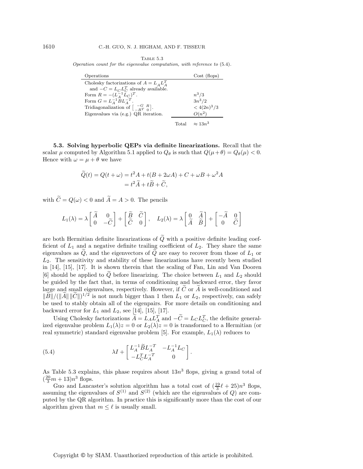Table 5.3 Operation count for the eigenvalue computation, with reference to (5.4).

| Operations                                                                |       | Cost (flops)    |
|---------------------------------------------------------------------------|-------|-----------------|
| Cholesky factorizations of $A = L_A L_A^T$                                |       |                 |
| and $-C = L_C L_C^T$ already available.                                   |       |                 |
| Form $R = -(\overline{L}_A^{-1} \overline{L}_C)^T$ .                      |       | $n^3/3$         |
| Form $G = L_A^{-1} B L_A^{-T}$ .                                          |       | $3n^3/2$        |
| Tridiagonalization of $\begin{bmatrix} -G & R \\ -RT & 0 \end{bmatrix}$ . |       | $< 4(2n)^3/3$   |
| Eigenvalues via $(e.g.)$ QR iteration.                                    |       | $O(n^2)$        |
|                                                                           | Total | $\approx 13n^3$ |

**5.3. Solving hyperbolic QEPs via definite linearizations.** Recall that the scalar  $\mu$  computed by Algorithm 5.1 applied to  $Q_{\theta}$  is such that  $Q(\mu + \theta) = Q_{\theta}(\mu) < 0$ . Hence with  $\omega = \mu + \theta$  we have

$$
\widetilde{Q}(t) = Q(t + \omega) = t^2 A + t(B + 2\omega A) + C + \omega B + \omega^2 A
$$

$$
= t^2 \widetilde{A} + t \widetilde{B} + \widetilde{C},
$$

with  $\widetilde{C} = Q(\omega) < 0$  and  $\widetilde{A} = A > 0$ . The pencils

$$
L_1(\lambda) = \lambda \begin{bmatrix} \widetilde{A} & 0 \\ 0 & -\widetilde{C} \end{bmatrix} + \begin{bmatrix} \widetilde{B} & \widetilde{C} \\ \widetilde{C} & 0 \end{bmatrix}, \quad L_2(\lambda) = \lambda \begin{bmatrix} 0 & \widetilde{A} \\ \widetilde{A} & \widetilde{B} \end{bmatrix} + \begin{bmatrix} -\widetilde{A} & 0 \\ 0 & \widetilde{C} \end{bmatrix}
$$

are both Hermitian definite linearizations of  $\tilde{Q}$  with a positive definite leading coefficient of  $L_1$  and a negative definite trailing coefficient of  $L_2$ . They share the same eigenvalues as  $Q$ , and the eigenvectors of  $Q$  are easy to recover from those of  $L_1$  or  $L<sub>2</sub>$ . The sensitivity and stability of these linearizations have recently been studied in [14], [15], [17]. It is shown therein that the scaling of Fan, Lin and Van Dooren [6] should be applied to  $\tilde{Q}$  before linearizing. The choice between  $L_1$  and  $L_2$  should be guided by the fact that, in terms of conditioning and backward error, they favor large and small eigenvalues, respectively. However, if C or A is well-conditioned and  $\|\widetilde{B}\|/(\|\widetilde{A}\| \|\widetilde{C}\|)^{1/2}$  is not much bigger than 1 then  $L_1$  or  $L_2$ , respectively, can safely be used to stably obtain all of the eigenpairs. For more details on conditioning and backward error for  $L_1$  and  $L_2$ , see [14], [15], [17].

Using Cholesky factorizations  $A = L_A L_A^T$  and  $-C = L_C L_C^T$ , the definite general-<br>eigenvalue problem  $L_A(\lambda) z = 0$  or  $L_B(\lambda) z = 0$  is transformed to a Hermitian (or ized eigenvalue problem  $L_1(\lambda)z = 0$  or  $L_2(\lambda)z = 0$  is transformed to a Hermitian (or real symmetric) standard eigenvalue problem [5]. For example,  $L_1(\lambda)$  reduces to

(5.4) 
$$
\lambda I + \begin{bmatrix} L_A^{-1} \tilde{B} L_A^{-T} & -L_A^{-1} L_C \\ -L_C^T L_A^{-T} & 0 \end{bmatrix}.
$$

As Table 5.3 explains, this phase requires about  $13n^3$  flops, giving a grand total of  $(\frac{20}{3}m + 13)n^3$  flops.

Guo and Lancaster's solution algorithm has a total cost of  $(\frac{19}{3}\ell + 25)n^3$  flops, assuming the eigenvalues of  $S^{(1)}$  and  $S^{(2)}$  (which are the eigenvalues of Q) are computed by the QR algorithm. In practice this is significantly more than the cost of our algorithm given that  $m \leq \ell$  is usually small.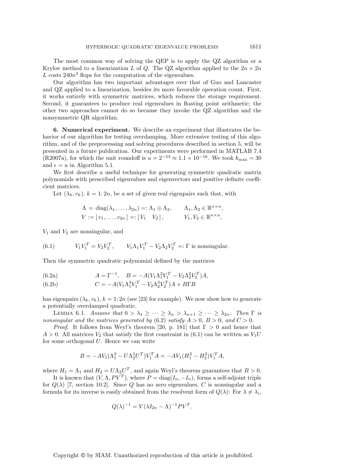The most common way of solving the QEP is to apply the QZ algorithm or a Krylov method to a linearization L of Q. The QZ algorithm applied to the  $2n \times 2n$ L costs  $240n^3$  flops for the computation of the eigenvalues.

Our algorithm has two important advantages over that of Guo and Lancaster and QZ applied to a linearization, besides its more favorable operation count. First, it works entirely with symmetric matrices, which reduces the storage requirement. Second, it guarantees to produce real eigenvalues in floating point arithmetic; the other two approaches cannot do so because they invoke the QZ algorithm and the nonsymmetric QR algorithm.

**6. Numerical experiment.** We describe an experiment that illustrates the behavior of our algorithm for testing overdamping. More extensive testing of this algorithm, and of the preprocessing and solving procedures described in section 5, will be presented in a future publication. Our experiments were performed in MATLAB 7.4 (R2007a), for which the unit roundoff is  $u = 2^{-53} \approx 1.1 \times 10^{-16}$ . We took  $k_{\text{max}} = 30$ and  $\epsilon = u$  in Algorithm 5.1.

We first describe a useful technique for generating symmetric quadratic matrix polynomials with prescribed eigenvalues and eigenvectors and positive definite coefficient matrices.

Let  $(\lambda_k, v_k)$ ,  $k = 1: 2n$ , be a set of given real eigenpairs such that, with

$$
\Lambda = \text{diag}(\lambda_1, \dots, \lambda_{2n}) =: \Lambda_1 \oplus \Lambda_2, \qquad \Lambda_1, \Lambda_2 \in \mathbb{R}^{n \times n},
$$
  

$$
V := [v_1, \dots, v_{2n}] =: [V_1 \quad V_2], \qquad V_1, V_2 \in \mathbb{R}^{n \times n},
$$

 $V_1$  and  $V_2$  are nonsingular, and

(6.1) 
$$
V_1 V_1^T = V_2 V_2^T, \qquad V_1 \Lambda_1 V_1^T - V_2 \Lambda_2 V_2^T =: \Gamma \text{ is nonsingular.}
$$

Then the symmetric quadratic polynomial defined by the matrices

(6.2a) 
$$
A = \Gamma^{-1}, \quad B = -A(V_1 \Lambda_1^2 V_1^T - V_2 \Lambda_2^2 V_2^T) A,
$$

(6.2b) 
$$
C = -A(V_1 \Lambda_1^3 V_1^T - V_2 \Lambda_2^3 V_2^T) A + B \Gamma B
$$

has eigenpairs  $(\lambda_k, v_k)$ ,  $k = 1: 2n$  (see [23] for example). We now show how to generate a potentially overdamped quadratic.

LEMMA 6.1. *Assume that*  $0 > \lambda_1 \geq \cdots \geq \lambda_n > \lambda_{n+1} \geq \cdots \geq \lambda_{2n}$ . *Then*  $\Gamma$  *is nonsingular and the matrices generated by* (6.2) *satisfy*  $A > 0$ ,  $B > 0$ , and  $C > 0$ .

*Proof.* It follows from Weyl's theorem [20, p. 181] that  $\Gamma > 0$  and hence that  $A > 0$ . All matrices  $V_2$  that satisfy the first constraint in (6.1) can be written as  $V_1U$ for some orthogonal  $U$ . Hence we can write

$$
B = -AV_1(\Lambda_1^2 - U\Lambda_2^2 U^T) V_1^T A = -AV_1(H_1^2 - H_2^2) V_1^T A,
$$

where  $H_1 = \Lambda_1$  and  $H_2 = U \Lambda_2 U^T$ , and again Weyl's theorem guarantees that  $B > 0$ .

It is known that  $(V, \Lambda, PV^T)$ , where  $P = \text{diag}(I_n, -I_n)$ , forms a self-adjoint triple for  $Q(\lambda)$  [7, section 10.2]. Since Q has no zero eigenvalues, C is nonsingular and a formula for its inverse is easily obtained from the resolvent form of  $Q(\lambda)$ : For  $\lambda \neq \lambda_i$ ,

$$
Q(\lambda)^{-1} = V(\lambda I_{2n} - \Lambda)^{-1} PV^T.
$$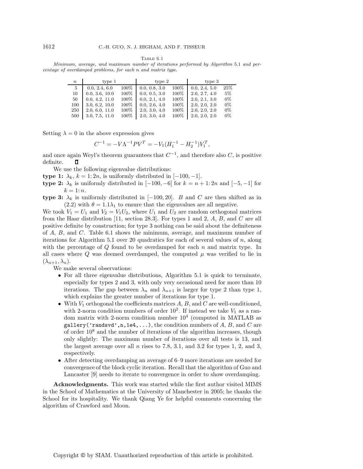Table 6.1

Minimum, average, and maximum number of iterations performed by Algorithm 5.1 and percentage of overdamped problems, for each n and matrix type.

| $\boldsymbol{n}$ | type 1         |      | type 2        |      | type 3        |       |
|------------------|----------------|------|---------------|------|---------------|-------|
| 5                | 0.0, 2.4, 6.0  | 100% | 0.0, 0.8, 3.0 | 100% | 0.0, 2.4, 5.0 | 25%   |
| 10               | 0.0, 3.6, 10.0 | 100% | 0.0, 0.5, 3.0 | 100% | 2.0, 2.7, 4.0 | $5\%$ |
| 50               | 0.0, 4.2, 11.0 | 100% | 0.0, 2.1, 4.0 | 100% | 2.0, 2.1, 3.0 | $0\%$ |
| 100              | 3.0, 6.2, 10.0 | 100% | 0.0, 2.6, 4.0 | 100% | 2.0, 2.0, 2.0 | $0\%$ |
| 250              | 2.0, 6.0, 11.0 | 100% | 2.0, 3.0, 4.0 | 100% | 2.0, 2.0, 2.0 | $0\%$ |
| 500              | 3.0, 7.5, 11.0 | 100% | 2.0, 3.0, 4.0 | 100% | 2.0, 2.0, 2.0 | $0\%$ |

Setting  $\lambda = 0$  in the above expression gives

$$
C^{-1} = -V\Lambda^{-1}PV^{T} = -V_1(H_1^{-1} - H_2^{-1})V_1^{T},
$$

and once again Weyl's theorem guarantees that  $C^{-1}$ , and therefore also C, is positive definite. п

We use the following eigenvalue distributions:

**type 1:**  $\lambda_k$ ,  $k = 1:2n$ , is uniformly distributed in  $[-100, -1]$ .

**type 2:**  $\lambda_k$  is uniformly distributed in  $[-100, -6]$  for  $k = n + 1: 2n$  and  $[-5, -1]$  for  $k=1:n$ .

**type 3:**  $\lambda_k$  is uniformly distributed in [−100, 20]. B and C are then shifted as in (2.2) with  $\theta = 1.1\lambda_1$  to ensure that the eigenvalues are all negative.

We took  $V_1 = U_1$  and  $V_2 = V_1U_2$ , where  $U_1$  and  $U_2$  are random orthogonal matrices from the Haar distribution [11, section 28.3]. For types 1 and 2, A, B, and C are all positive definite by construction; for type 3 nothing can be said about the definiteness of  $A, B$ , and  $C$ . Table 6.1 shows the minimum, average, and maximum number of iterations for Algorithm 5.1 over 20 quadratics for each of several values of  $n$ , along with the percentage of  $Q$  found to be overdamped for each n and matrix type. In all cases where  $Q$  was deemed overdamped, the computed  $\mu$  was verified to lie in  $(\lambda_{n+1}, \lambda_n).$ 

We make several observations:

- For all three eigenvalue distributions, Algorithm 5.1 is quick to terminate, especially for types 2 and 3, with only very occasional need for more than 10 iterations. The gap between  $\lambda_n$  and  $\lambda_{n+1}$  is larger for type 2 than type 1, which explains the greater number of iterations for type 1.
- With  $V_1$  orthogonal the coefficients matrices  $A, B$ , and  $C$  are well-conditioned, with 2-norm condition numbers of order  $10^2$ . If instead we take  $V_1$  as a random matrix with 2-norm condition number  $10^4$  (computed in MATLAB as gallery('randsvd', n, 1e4,  $\dots$ ), the condition numbers of A, B, and C are of order  $10<sup>8</sup>$  and the number of iterations of the algorithm increases, though only slightly: The maximum number of iterations over all tests is 13, and the largest average over all  $n$  rises to 7.8, 3.1, and 3.2 for types 1, 2, and 3, respectively.
- After detecting overdamping an average of 6–9 more iterations are needed for convergence of the block cyclic iteration. Recall that the algorithm of Guo and Lancaster [9] needs to iterate to convergence in order to show overdamping.

**Acknowledgments.** This work was started while the first author visited MIMS in the School of Mathematics at the University of Manchester in 2005; he thanks the School for its hospitality. We thank Qiang Ye for helpful comments concerning the algorithm of Crawford and Moon.